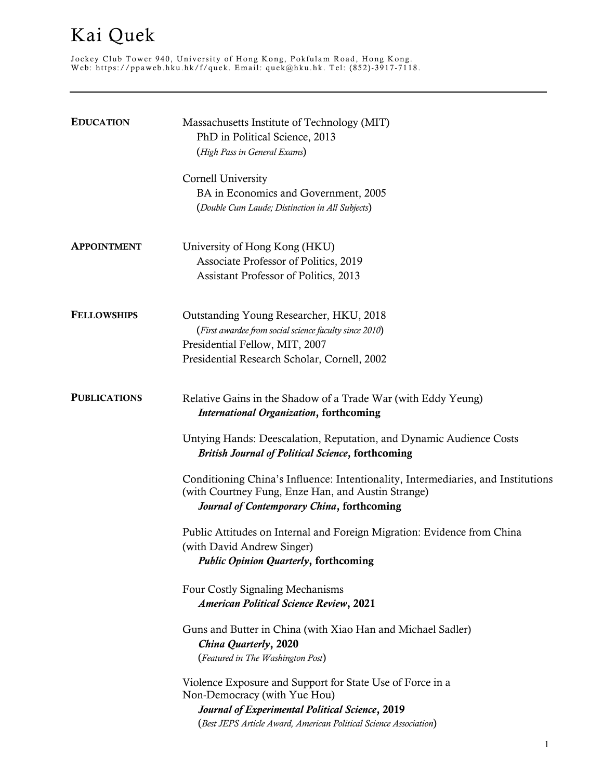## Kai Quek

Jockey Club Tower 940, University of Hong Kong, Pokfulam Road, Hong Kong . Web: https://ppaweb.hku.hk/f/quek . Email: quek@hku.hk . Tel: (852)- 3917 - 7118 .

| <b>EDUCATION</b>    | Massachusetts Institute of Technology (MIT)<br>PhD in Political Science, 2013<br>(High Pass in General Exams)                                                                                                     |
|---------------------|-------------------------------------------------------------------------------------------------------------------------------------------------------------------------------------------------------------------|
|                     | Cornell University<br>BA in Economics and Government, 2005<br>(Double Cum Laude; Distinction in All Subjects)                                                                                                     |
| <b>APPOINTMENT</b>  | University of Hong Kong (HKU)<br>Associate Professor of Politics, 2019<br>Assistant Professor of Politics, 2013                                                                                                   |
| <b>FELLOWSHIPS</b>  | Outstanding Young Researcher, HKU, 2018<br>(First awardee from social science faculty since 2010)<br>Presidential Fellow, MIT, 2007<br>Presidential Research Scholar, Cornell, 2002                               |
| <b>PUBLICATIONS</b> | Relative Gains in the Shadow of a Trade War (with Eddy Yeung)<br><b>International Organization, forthcoming</b>                                                                                                   |
|                     | Untying Hands: Deescalation, Reputation, and Dynamic Audience Costs<br><b>British Journal of Political Science, forthcoming</b>                                                                                   |
|                     | Conditioning China's Influence: Intentionality, Intermediaries, and Institutions<br>(with Courtney Fung, Enze Han, and Austin Strange)<br>Journal of Contemporary China, forthcoming                              |
|                     | Public Attitudes on Internal and Foreign Migration: Evidence from China<br>(with David Andrew Singer)<br><b>Public Opinion Quarterly, forthcoming</b>                                                             |
|                     | Four Costly Signaling Mechanisms<br><b>American Political Science Review, 2021</b>                                                                                                                                |
|                     | Guns and Butter in China (with Xiao Han and Michael Sadler)<br>China Quarterly, 2020<br>(Featured in The Washington Post)                                                                                         |
|                     | Violence Exposure and Support for State Use of Force in a<br>Non-Democracy (with Yue Hou)<br>Journal of Experimental Political Science, 2019<br>(Best JEPS Article Award, American Political Science Association) |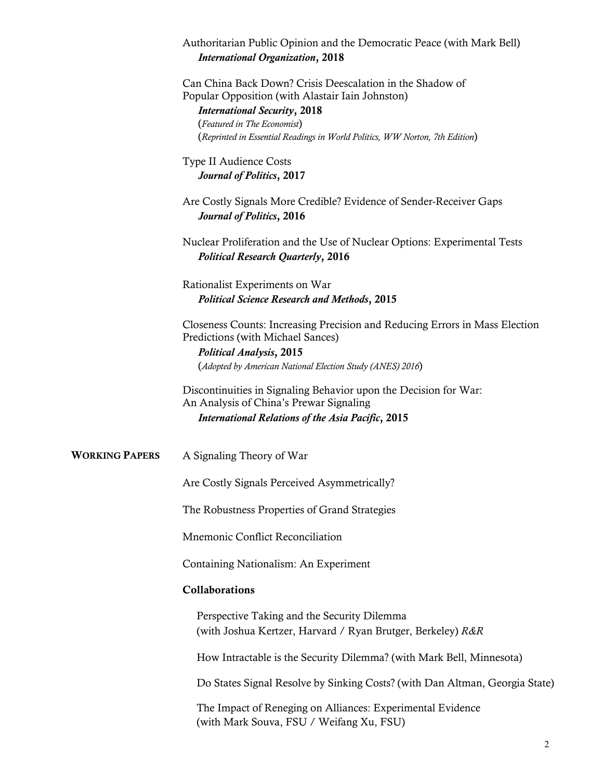|                       | Authoritarian Public Opinion and the Democratic Peace (with Mark Bell)<br><b>International Organization, 2018</b>                                                                                                                                                  |
|-----------------------|--------------------------------------------------------------------------------------------------------------------------------------------------------------------------------------------------------------------------------------------------------------------|
|                       | Can China Back Down? Crisis Deescalation in the Shadow of<br>Popular Opposition (with Alastair Iain Johnston)<br><b>International Security, 2018</b><br>(Featured in The Economist)<br>(Reprinted in Essential Readings in World Politics, WW Norton, 7th Edition) |
|                       | <b>Type II Audience Costs</b><br>Journal of Politics, 2017                                                                                                                                                                                                         |
|                       | Are Costly Signals More Credible? Evidence of Sender-Receiver Gaps<br><b>Journal of Politics, 2016</b>                                                                                                                                                             |
|                       | Nuclear Proliferation and the Use of Nuclear Options: Experimental Tests<br><b>Political Research Quarterly, 2016</b>                                                                                                                                              |
|                       | Rationalist Experiments on War<br><b>Political Science Research and Methods, 2015</b>                                                                                                                                                                              |
|                       | Closeness Counts: Increasing Precision and Reducing Errors in Mass Election<br>Predictions (with Michael Sances)<br><b>Political Analysis, 2015</b><br>(Adopted by American National Election Study (ANES) 2016)                                                   |
|                       | Discontinuities in Signaling Behavior upon the Decision for War:<br>An Analysis of China's Prewar Signaling<br><b>International Relations of the Asia Pacific, 2015</b>                                                                                            |
| <b>WORKING PAPERS</b> | A Signaling Theory of War                                                                                                                                                                                                                                          |
|                       | Are Costly Signals Perceived Asymmetrically?                                                                                                                                                                                                                       |
|                       | The Robustness Properties of Grand Strategies                                                                                                                                                                                                                      |
|                       | Mnemonic Conflict Reconciliation                                                                                                                                                                                                                                   |
|                       | Containing Nationalism: An Experiment                                                                                                                                                                                                                              |
|                       | Collaborations                                                                                                                                                                                                                                                     |
|                       | Perspective Taking and the Security Dilemma<br>(with Joshua Kertzer, Harvard / Ryan Brutger, Berkeley) R&R                                                                                                                                                         |
|                       | How Intractable is the Security Dilemma? (with Mark Bell, Minnesota)                                                                                                                                                                                               |
|                       | Do States Signal Resolve by Sinking Costs? (with Dan Altman, Georgia State)                                                                                                                                                                                        |
|                       | The Impact of Reneging on Alliances: Experimental Evidence                                                                                                                                                                                                         |

(with Mark Souva, FSU / Weifang Xu, FSU)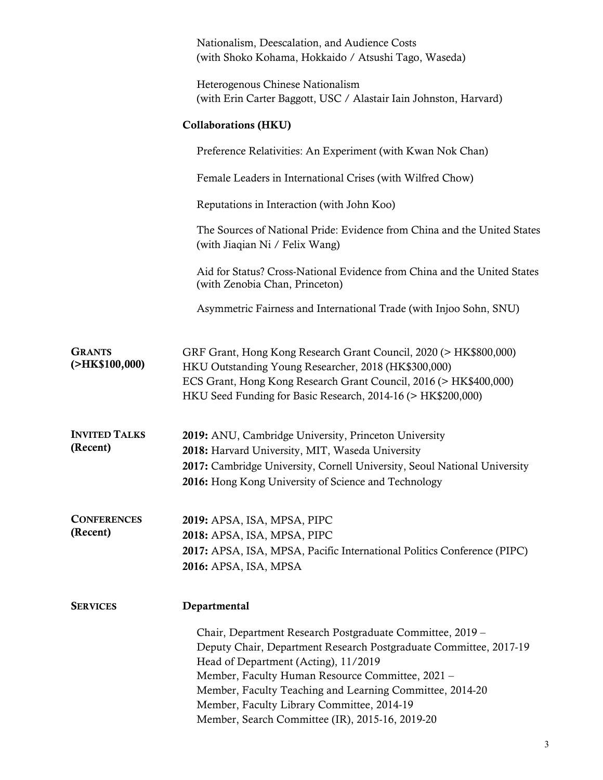|                                  | Nationalism, Deescalation, and Audience Costs<br>(with Shoko Kohama, Hokkaido / Atsushi Tago, Waseda)                                                                                                                                                                                                                                                                                   |
|----------------------------------|-----------------------------------------------------------------------------------------------------------------------------------------------------------------------------------------------------------------------------------------------------------------------------------------------------------------------------------------------------------------------------------------|
|                                  | Heterogenous Chinese Nationalism<br>(with Erin Carter Baggott, USC / Alastair Iain Johnston, Harvard)                                                                                                                                                                                                                                                                                   |
|                                  | <b>Collaborations (HKU)</b>                                                                                                                                                                                                                                                                                                                                                             |
|                                  | Preference Relativities: An Experiment (with Kwan Nok Chan)                                                                                                                                                                                                                                                                                                                             |
|                                  | Female Leaders in International Crises (with Wilfred Chow)                                                                                                                                                                                                                                                                                                                              |
|                                  | Reputations in Interaction (with John Koo)                                                                                                                                                                                                                                                                                                                                              |
|                                  | The Sources of National Pride: Evidence from China and the United States<br>(with Jiaqian Ni / Felix Wang)                                                                                                                                                                                                                                                                              |
|                                  | Aid for Status? Cross-National Evidence from China and the United States<br>(with Zenobia Chan, Princeton)                                                                                                                                                                                                                                                                              |
|                                  | Asymmetric Fairness and International Trade (with Injoo Sohn, SNU)                                                                                                                                                                                                                                                                                                                      |
| <b>GRANTS</b><br>( >HK\$100,000) | GRF Grant, Hong Kong Research Grant Council, 2020 (> HK\$800,000)<br>HKU Outstanding Young Researcher, 2018 (HK\$300,000)<br>ECS Grant, Hong Kong Research Grant Council, 2016 (> HK\$400,000)<br>HKU Seed Funding for Basic Research, 2014-16 (> HK\$200,000)                                                                                                                          |
| <b>INVITED TALKS</b><br>(Recent) | 2019: ANU, Cambridge University, Princeton University<br>2018: Harvard University, MIT, Waseda University<br>2017: Cambridge University, Cornell University, Seoul National University<br>2016: Hong Kong University of Science and Technology                                                                                                                                          |
| <b>CONFERENCES</b><br>(Recent)   | 2019: APSA, ISA, MPSA, PIPC<br>2018: APSA, ISA, MPSA, PIPC<br>2017: APSA, ISA, MPSA, Pacific International Politics Conference (PIPC)<br>2016: APSA, ISA, MPSA                                                                                                                                                                                                                          |
| <b>SERVICES</b>                  | Departmental                                                                                                                                                                                                                                                                                                                                                                            |
|                                  | Chair, Department Research Postgraduate Committee, 2019 -<br>Deputy Chair, Department Research Postgraduate Committee, 2017-19<br>Head of Department (Acting), 11/2019<br>Member, Faculty Human Resource Committee, 2021 -<br>Member, Faculty Teaching and Learning Committee, 2014-20<br>Member, Faculty Library Committee, 2014-19<br>Member, Search Committee (IR), 2015-16, 2019-20 |